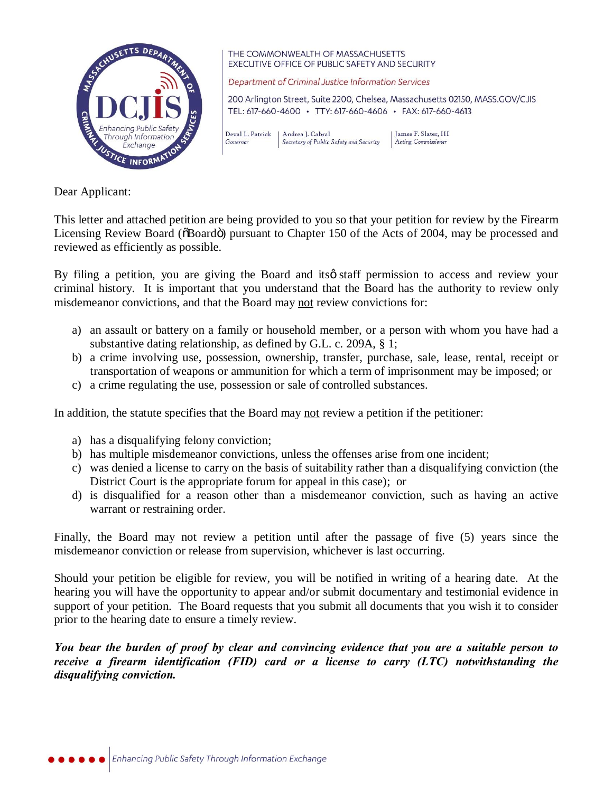

THE COMMONWEALTH OF MASSACHUSETTS **EXECUTIVE OFFICE OF PUBLIC SAFETY AND SECURITY** 

Department of Criminal Justice Information Services

200 Arlington Street, Suite 2200, Chelsea, Massachusetts 02150, MASS.GOV/CJIS TEL: 617-660-4600 · TTY: 617-660-4606 · FAX: 617-660-4613

Deval L. Patrick | Andrea J. Cabral Governor Secretary of Public Safety and Security

LIames F. Slater, III Acting Commissioner

Dear Applicant:

This letter and attached petition are being provided to you so that your petition for review by the Firearm Licensing Review Board ( $\delta$ Board $\delta$ ) pursuant to Chapter 150 of the Acts of 2004, may be processed and reviewed as efficiently as possible.

By filing a petition, you are giving the Board and itsø staff permission to access and review your criminal history. It is important that you understand that the Board has the authority to review only misdemeanor convictions, and that the Board may not review convictions for:

- a) an assault or battery on a family or household member, or a person with whom you have had a substantive dating relationship, as defined by G.L. c. 209A, § 1;
- b) a crime involving use, possession, ownership, transfer, purchase, sale, lease, rental, receipt or transportation of weapons or ammunition for which a term of imprisonment may be imposed; or
- c) a crime regulating the use, possession or sale of controlled substances.

In addition, the statute specifies that the Board may not review a petition if the petitioner:

- a) has a disqualifying felony conviction;
- b) has multiple misdemeanor convictions, unless the offenses arise from one incident;
- c) was denied a license to carry on the basis of suitability rather than a disqualifying conviction (the District Court is the appropriate forum for appeal in this case); or
- d) is disqualified for a reason other than a misdemeanor conviction, such as having an active warrant or restraining order.

Finally, the Board may not review a petition until after the passage of five (5) years since the misdemeanor conviction or release from supervision, whichever is last occurring.

Should your petition be eligible for review, you will be notified in writing of a hearing date. At the hearing you will have the opportunity to appear and/or submit documentary and testimonial evidence in support of your petition. The Board requests that you submit all documents that you wish it to consider prior to the hearing date to ensure a timely review.

*You bear the burden of proof by clear and convincing evidence that you are a suitable person to receive a firearm identification (FID) card or a license to carry (LTC) notwithstanding the disqualifying conviction.*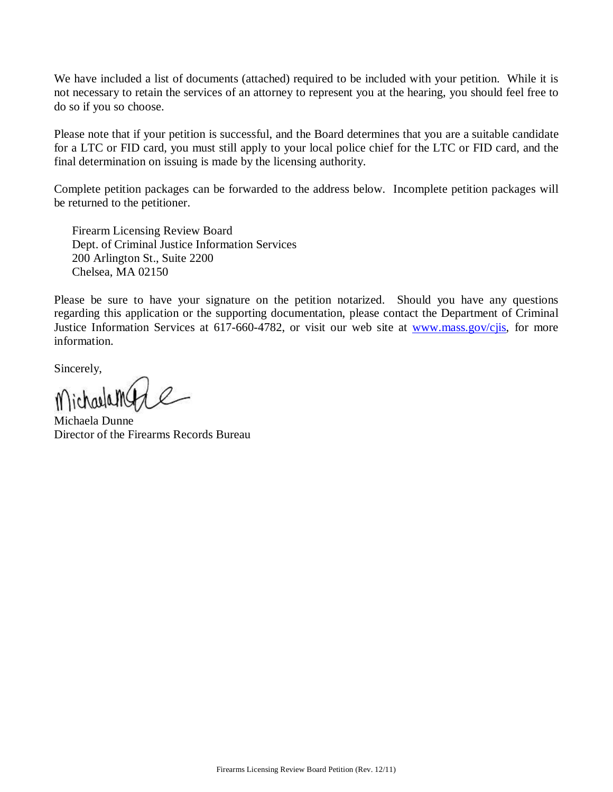We have included a list of documents (attached) required to be included with your petition. While it is not necessary to retain the services of an attorney to represent you at the hearing, you should feel free to do so if you so choose.

Please note that if your petition is successful, and the Board determines that you are a suitable candidate for a LTC or FID card, you must still apply to your local police chief for the LTC or FID card, and the final determination on issuing is made by the licensing authority.

Complete petition packages can be forwarded to the address below. Incomplete petition packages will be returned to the petitioner.

Firearm Licensing Review Board Dept. of Criminal Justice Information Services 200 Arlington St., Suite 2200 Chelsea, MA 02150

Please be sure to have your signature on the petition notarized. Should you have any questions regarding this application or the supporting documentation, please contact the Department of Criminal Justice Information Services at 617-660-4782, or visit our web site at [www.mass.gov/cjis,](http://www.mass.gov/cjis) for more information.

Sincerely,

Michaela Dunne Director of the Firearms Records Bureau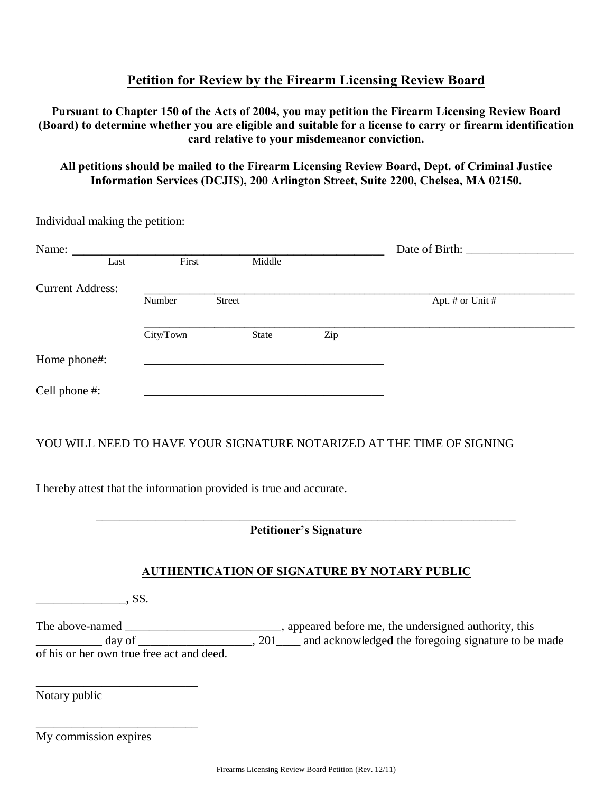# **Petition for Review by the Firearm Licensing Review Board**

**Pursuant to Chapter 150 of the Acts of 2004, you may petition the Firearm Licensing Review Board (Board) to determine whether you are eligible and suitable for a license to carry or firearm identification card relative to your misdemeanor conviction.**

### **All petitions should be mailed to the Firearm Licensing Review Board, Dept. of Criminal Justice Information Services (DCJIS), 200 Arlington Street, Suite 2200, Chelsea, MA 02150.**

| Individual making the petition: |      |           |        |        |     |                  |  |  |
|---------------------------------|------|-----------|--------|--------|-----|------------------|--|--|
| Name:                           | Last | First     |        | Middle |     | Date of Birth:   |  |  |
| <b>Current Address:</b>         |      |           |        |        |     |                  |  |  |
|                                 |      | Number    | Street |        |     | Apt. # or Unit # |  |  |
|                                 |      | City/Town |        | State  | Zip |                  |  |  |
| Home phone#:                    |      |           |        |        |     |                  |  |  |
| Cell phone #:                   |      |           |        |        |     |                  |  |  |

## YOU WILL NEED TO HAVE YOUR SIGNATURE NOTARIZED AT THE TIME OF SIGNING

I hereby attest that the information provided is true and accurate.

\_\_\_\_\_\_\_\_\_\_\_\_\_\_\_\_\_\_\_\_\_\_\_\_\_\_\_\_\_\_\_\_\_\_\_\_\_\_\_\_\_\_\_\_\_\_\_\_\_\_\_\_\_\_\_\_\_\_\_\_\_\_\_\_\_\_\_\_\_\_ **Petitioner's Signature**

### **AUTHENTICATION OF SIGNATURE BY NOTARY PUBLIC**

| $\sim$ |
|--------|
| ມມ.    |

The above-named \_\_\_\_\_\_\_\_\_\_\_\_\_\_\_\_\_\_\_\_\_\_\_\_\_\_\_, appeared before me, the undersigned authority, this  $\frac{d}{dx}$  day of  $\frac{1}{201}$ ,  $\frac{201}{x}$  and acknowledged the foregoing signature to be made of his or her own true free act and deed.

Notary public

My commission expires

\_\_\_\_\_\_\_\_\_\_\_\_\_\_\_\_\_\_\_\_\_\_\_\_\_\_\_

\_\_\_\_\_\_\_\_\_\_\_\_\_\_\_\_\_\_\_\_\_\_\_\_\_\_\_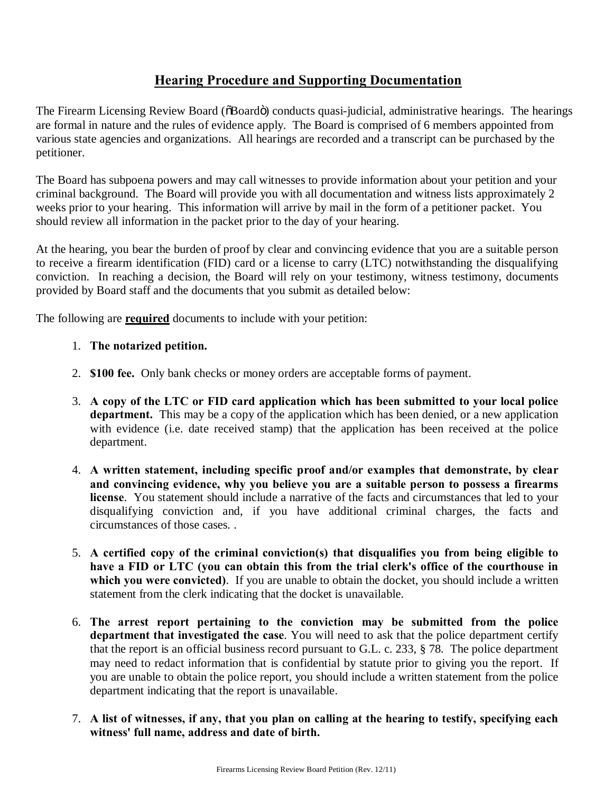# **Hearing Procedure and Supporting Documentation**

The Firearm Licensing Review Board ( $\delta$ Board $\ddot{\sigma}$ ) conducts quasi-judicial, administrative hearings. The hearings are formal in nature and the rules of evidence apply. The Board is comprised of 6 members appointed from various state agencies and organizations. All hearings are recorded and a transcript can be purchased by the petitioner.

The Board has subpoena powers and may call witnesses to provide information about your petition and your criminal background. The Board will provide you with all documentation and witness lists approximately 2 weeks prior to your hearing. This information will arrive by mail in the form of a petitioner packet. You should review all information in the packet prior to the day of your hearing.

At the hearing, you bear the burden of proof by clear and convincing evidence that you are a suitable person to receive a firearm identification (FID) card or a license to carry (LTC) notwithstanding the disqualifying conviction. In reaching a decision, the Board will rely on your testimony, witness testimony, documents provided by Board staff and the documents that you submit as detailed below:

The following are **required** documents to include with your petition:

#### 1. **The notarized petition.**

- 2. **\$100 fee.** Only bank checks or money orders are acceptable forms of payment.
- 3. **A copy of the LTC or FID card application which has been submitted to your local police department.** This may be a copy of the application which has been denied, or a new application with evidence (i.e. date received stamp) that the application has been received at the police department.
- 4. **A written statement, including specific proof and/or examples that demonstrate, by clear and convincing evidence, why you believe you are a suitable person to possess a firearms license**. You statement should include a narrative of the facts and circumstances that led to your disqualifying conviction and, if you have additional criminal charges, the facts and circumstances of those cases. .
- 5. **A certified copy of the criminal conviction(s) that disqualifies you from being eligible to have a FID or LTC (you can obtain this from the trial clerk's office of the courthouse in which you were convicted)**. If you are unable to obtain the docket, you should include a written statement from the clerk indicating that the docket is unavailable.
- 6. **The arrest report pertaining to the conviction may be submitted from the police department that investigated the case**. You will need to ask that the police department certify that the report is an official business record pursuant to G.L. c. 233, § 78. The police department may need to redact information that is confidential by statute prior to giving you the report. If you are unable to obtain the police report, you should include a written statement from the police department indicating that the report is unavailable.
- 7. **A list of witnesses, if any, that you plan on calling at the hearing to testify, specifying each witness' full name, address and date of birth.**